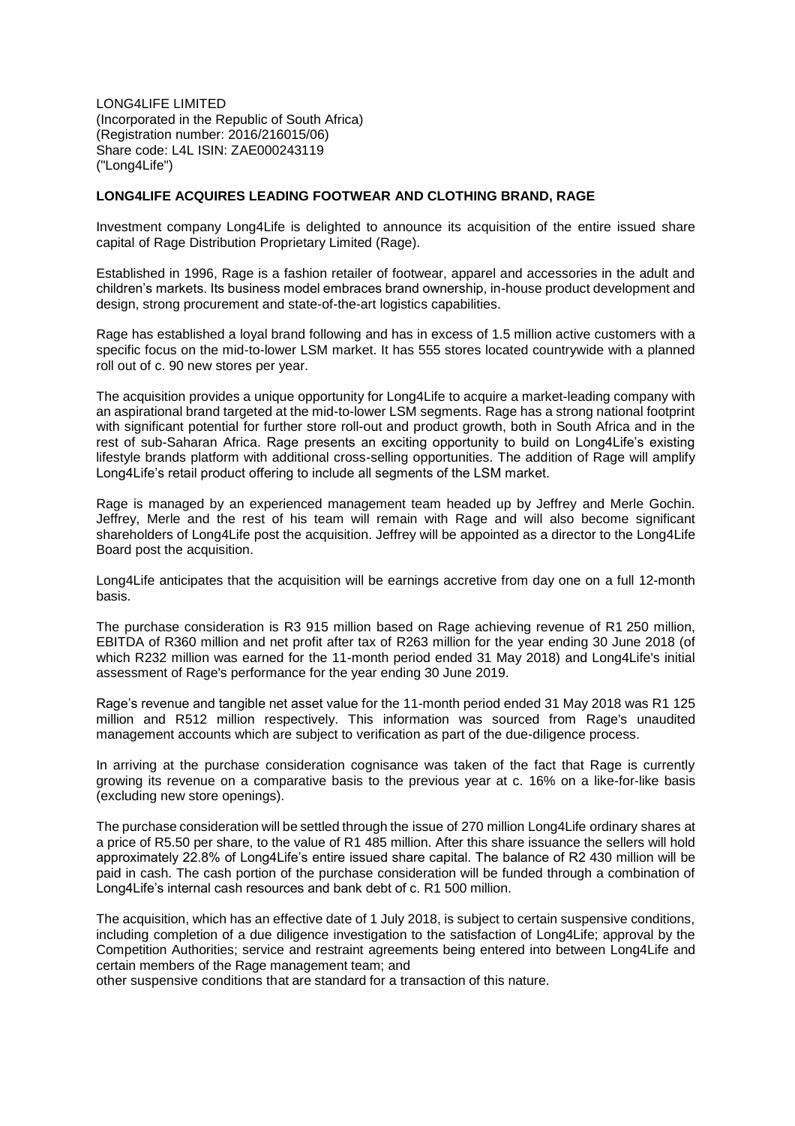LONG4LIFE LIMITED (Incorporated in the Republic of South Africa) (Registration number: 2016/216015/06) Share code: L4L ISIN: ZAE000243119 ("Long4Life")

## **LONG4LIFE ACQUIRES LEADING FOOTWEAR AND CLOTHING BRAND, RAGE**

Investment company Long4Life is delighted to announce its acquisition of the entire issued share capital of Rage Distribution Proprietary Limited (Rage).

Established in 1996, Rage is a fashion retailer of footwear, apparel and accessories in the adult and children's markets. Its business model embraces brand ownership, in-house product development and design, strong procurement and state-of-the-art logistics capabilities.

Rage has established a loyal brand following and has in excess of 1.5 million active customers with a specific focus on the mid-to-lower LSM market. It has 555 stores located countrywide with a planned roll out of c. 90 new stores per year.

The acquisition provides a unique opportunity for Long4Life to acquire a market-leading company with an aspirational brand targeted at the mid-to-lower LSM segments. Rage has a strong national footprint with significant potential for further store roll-out and product growth, both in South Africa and in the rest of sub-Saharan Africa. Rage presents an exciting opportunity to build on Long4Life's existing lifestyle brands platform with additional cross-selling opportunities. The addition of Rage will amplify Long4Life's retail product offering to include all segments of the LSM market.

Rage is managed by an experienced management team headed up by Jeffrey and Merle Gochin. Jeffrey, Merle and the rest of his team will remain with Rage and will also become significant shareholders of Long4Life post the acquisition. Jeffrey will be appointed as a director to the Long4Life Board post the acquisition.

Long4Life anticipates that the acquisition will be earnings accretive from day one on a full 12-month basis.

The purchase consideration is R3 915 million based on Rage achieving revenue of R1 250 million, EBITDA of R360 million and net profit after tax of R263 million for the year ending 30 June 2018 (of which R232 million was earned for the 11-month period ended 31 May 2018) and Long4Life's initial assessment of Rage's performance for the year ending 30 June 2019.

Rage's revenue and tangible net asset value for the 11-month period ended 31 May 2018 was R1 125 million and R512 million respectively. This information was sourced from Rage's unaudited management accounts which are subject to verification as part of the due-diligence process.

In arriving at the purchase consideration cognisance was taken of the fact that Rage is currently growing its revenue on a comparative basis to the previous year at c. 16% on a like-for-like basis (excluding new store openings).

The purchase consideration will be settled through the issue of 270 million Long4Life ordinary shares at a price of R5.50 per share, to the value of R1 485 million. After this share issuance the sellers will hold approximately 22.8% of Long4Life's entire issued share capital. The balance of R2 430 million will be paid in cash. The cash portion of the purchase consideration will be funded through a combination of Long4Life's internal cash resources and bank debt of c. R1 500 million.

The acquisition, which has an effective date of 1 July 2018, is subject to certain suspensive conditions, including completion of a due diligence investigation to the satisfaction of Long4Life; approval by the Competition Authorities; service and restraint agreements being entered into between Long4Life and certain members of the Rage management team; and

other suspensive conditions that are standard for a transaction of this nature.